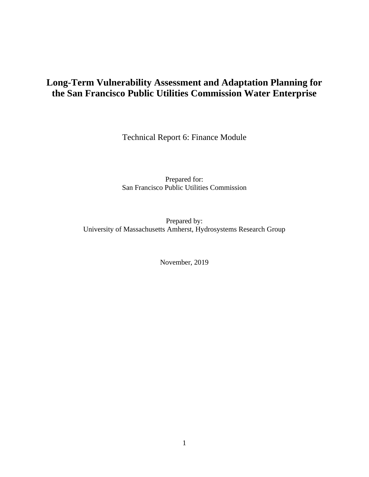## **Long-Term Vulnerability Assessment and Adaptation Planning for the San Francisco Public Utilities Commission Water Enterprise**

Technical Report 6: Finance Module

Prepared for: San Francisco Public Utilities Commission

Prepared by: University of Massachusetts Amherst, Hydrosystems Research Group

November, 2019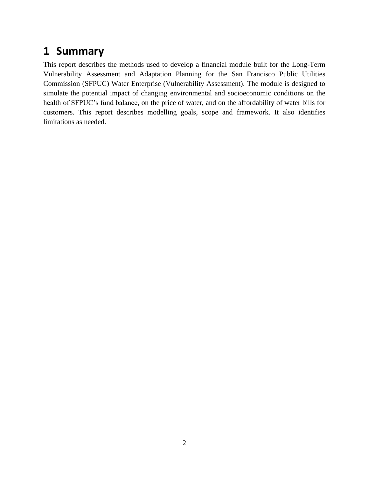# **1 Summary**

This report describes the methods used to develop a financial module built for the Long-Term Vulnerability Assessment and Adaptation Planning for the San Francisco Public Utilities Commission (SFPUC) Water Enterprise (Vulnerability Assessment). The module is designed to simulate the potential impact of changing environmental and socioeconomic conditions on the health of SFPUC's fund balance, on the price of water, and on the affordability of water bills for customers. This report describes modelling goals, scope and framework. It also identifies limitations as needed.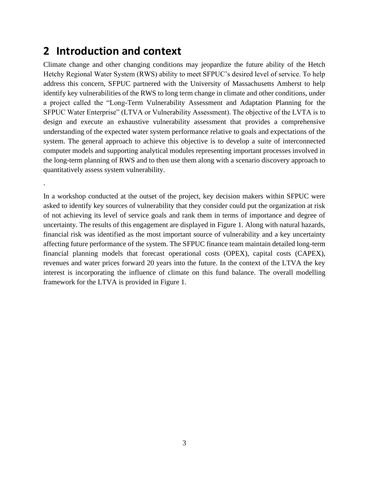# **2 Introduction and context**

.

Climate change and other changing conditions may jeopardize the future ability of the Hetch Hetchy Regional Water System (RWS) ability to meet SFPUC's desired level of service. To help address this concern, SFPUC partnered with the University of Massachusetts Amherst to help identify key vulnerabilities of the RWS to long term change in climate and other conditions, under a project called the "Long-Term Vulnerability Assessment and Adaptation Planning for the SFPUC Water Enterprise" (LTVA or Vulnerability Assessment). The objective of the LVTA is to design and execute an exhaustive vulnerability assessment that provides a comprehensive understanding of the expected water system performance relative to goals and expectations of the system. The general approach to achieve this objective is to develop a suite of interconnected computer models and supporting analytical modules representing important processes involved in the long-term planning of RWS and to then use them along with a scenario discovery approach to quantitatively assess system vulnerability.

In a workshop conducted at the outset of the project, key decision makers within SFPUC were asked to identify key sources of vulnerability that they consider could put the organization at risk of not achieving its level of service goals and rank them in terms of importance and degree of uncertainty. The results of this engagement are displayed in [Figure 1.](#page-3-0) Along with natural hazards, financial risk was identified as the most important source of vulnerability and a key uncertainty affecting future performance of the system. The SFPUC finance team maintain detailed long-term financial planning models that forecast operational costs (OPEX), capital costs (CAPEX), revenues and water prices forward 20 years into the future. In the context of the LTVA the key interest is incorporating the influence of climate on this fund balance. The overall modelling framework for the LTVA is provided in [Figure 1.](#page-3-0)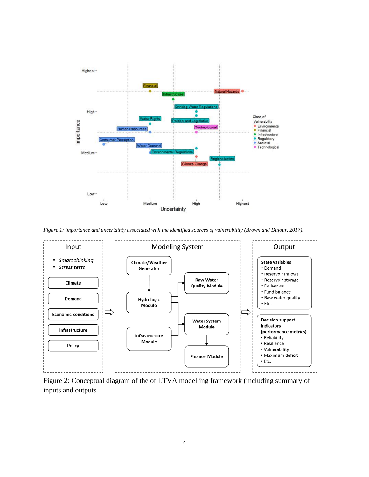

<span id="page-3-0"></span>*Figure 1: importance and uncertainty associated with the identified sources of vulnerability (Brown and Dufour, 2017).*



Figure 2: Conceptual diagram of the of LTVA modelling framework (including summary of inputs and outputs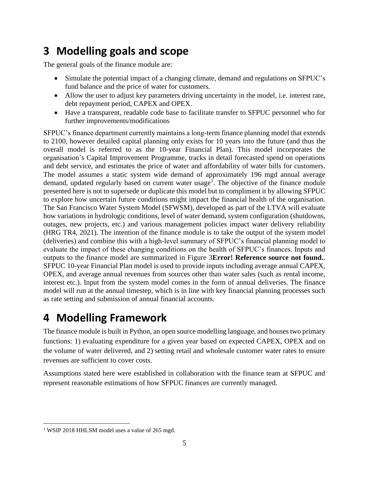# **3 Modelling goals and scope**

The general goals of the finance module are:

- Simulate the potential impact of a changing climate, demand and regulations on SFPUC's fund balance and the price of water for customers.
- Allow the user to adjust key parameters driving uncertainty in the model, i.e. interest rate, debt repayment period, CAPEX and OPEX.
- Have a transparent, readable code base to facilitate transfer to SFPUC personnel who for further improvements/modifications

SFPUC's finance department currently maintains a long-term finance planning model that extends to 2100, however detailed capital planning only exists for 10 years into the future (and thus the overall model is referred to as the 10-year Financial Plan). This model incorporates the organisation's Capital Improvement Programme, tracks in detail forecasted spend on operations and debt service, and estimates the price of water and affordability of water bills for customers. The model assumes a static system wide demand of approximately 196 mgd annual average demand, updated regularly based on current water usage<sup>1</sup>. The objective of the finance module presented here is not to supersede or duplicate this model but to compliment it by allowing SFPUC to explore how uncertain future conditions might impact the financial health of the organisation. The San Francisco Water System Model (SFWSM), developed as part of the LTVA will evaluate how variations in hydrologic conditions, level of water demand, system configuration (shutdowns, outages, new projects, etc.) and various management policies impact water delivery reliability (HRG TR4, 2021). The intention of the finance module is to take the output of the system model (deliveries) and combine this with a high-level summary of SFPUC's financial planning model to evaluate the impact of these changing conditions on the health of SFPUC's finances. Inputs and outputs to the finance model are summarized in [Figure 3](#page-5-0)**Error! Reference source not found.**. SFPUC 10-year Financial Plan model is used to provide inputs including average annual CAPEX, OPEX, and average annual revenues from sources other than water sales (such as rental income, interest etc.). Input from the system model comes in the form of annual deliveries. The finance model will run at the annual timestep, which is in line with key financial planning processes such as rate setting and submission of annual financial accounts.

# **4 Modelling Framework**

The finance module is built in Python, an open source modelling language, and houses two primary functions: 1) evaluating expenditure for a given year based on expected CAPEX, OPEX and on the volume of water delivered, and 2) setting retail and wholesale customer water rates to ensure revenues are sufficient to cover costs.

Assumptions stated here were established in collaboration with the finance team at SFPUC and represent reasonable estimations of how SFPUC finances are currently managed.

<sup>&</sup>lt;sup>1</sup> WSIP 2018 HHLSM model uses a value of 265 mgd.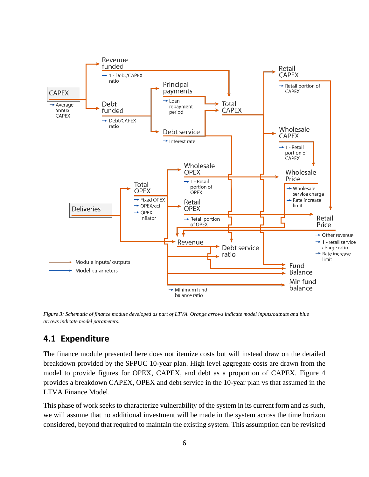

<span id="page-5-0"></span>*Figure 3: Schematic of finance module developed as part of LTVA. Orange arrows indicate model inputs/outputs and blue arrows indicate model parameters.*

### **4.1 Expenditure**

The finance module presented here does not itemize costs but will instead draw on the detailed breakdown provided by the SFPUC 10-year plan. High level aggregate costs are drawn from the model to provide figures for OPEX, CAPEX, and debt as a proportion of CAPEX. [Figure 4](#page-6-0) provides a breakdown CAPEX, OPEX and debt service in the 10-year plan vs that assumed in the LTVA Finance Model.

This phase of work seeks to characterize vulnerability of the system in its current form and as such, we will assume that no additional investment will be made in the system across the time horizon considered, beyond that required to maintain the existing system. This assumption can be revisited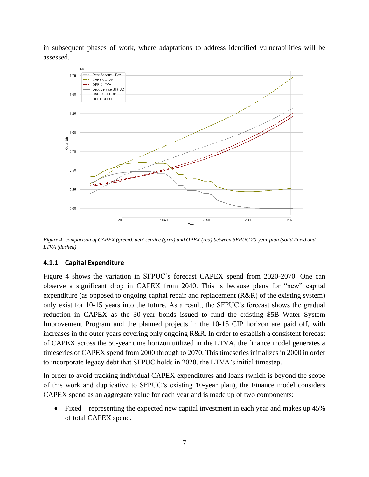in subsequent phases of work, where adaptations to address identified vulnerabilities will be assessed.



<span id="page-6-0"></span>*Figure 4: comparison of CAPEX (green), debt service (grey) and OPEX (red) between SFPUC 20-year plan (solid lines) and LTVA (dashed)*

#### **4.1.1 Capital Expenditure**

[Figure 4](#page-6-0) shows the variation in SFPUC's forecast CAPEX spend from 2020-2070. One can observe a significant drop in CAPEX from 2040. This is because plans for "new" capital expenditure (as opposed to ongoing capital repair and replacement (R&R) of the existing system) only exist for 10-15 years into the future. As a result, the SFPUC's forecast shows the gradual reduction in CAPEX as the 30-year bonds issued to fund the existing \$5B Water System Improvement Program and the planned projects in the 10-15 CIP horizon are paid off, with increases in the outer years covering only ongoing R&R. In order to establish a consistent forecast of CAPEX across the 50-year time horizon utilized in the LTVA, the finance model generates a timeseries of CAPEX spend from 2000 through to 2070. This timeseries initializes in 2000 in order to incorporate legacy debt that SFPUC holds in 2020, the LTVA's initial timestep.

In order to avoid tracking individual CAPEX expenditures and loans (which is beyond the scope of this work and duplicative to SFPUC's existing 10-year plan), the Finance model considers CAPEX spend as an aggregate value for each year and is made up of two components:

• Fixed – representing the expected new capital investment in each year and makes up 45% of total CAPEX spend.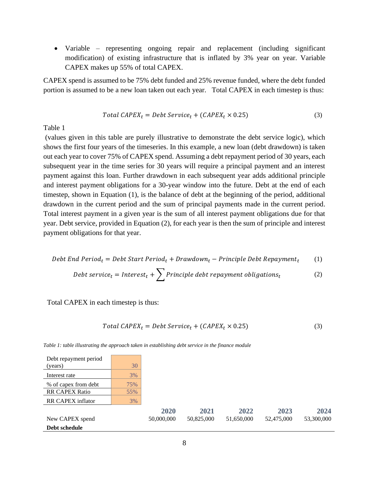• Variable – representing ongoing repair and replacement (including significant modification) of existing infrastructure that is inflated by 3% year on year. Variable CAPEX makes up 55% of total CAPEX.

CAPEX spend is assumed to be 75% debt funded and 25% revenue funded, where the debt funded portion is assumed to be a new loan taken out each year. [Total CAPEX in each timestep is thus:](#page-7-0)

$$
Total CAPEXt = Debt Servicet + (CAPEXt × 0.25)
$$
\n(3)

[Table](#page-7-0) 1

(values given in this table are purely illustrative to demonstrate the debt service logic), which shows the first four years of the timeseries. In this example, a new loan (debt drawdown) is taken out each year to cover 75% of CAPEX spend. Assuming a debt repayment period of 30 years, each subsequent year in the time series for 30 years will require a principal payment and an interest payment against this loan. Further drawdown in each subsequent year adds additional principle and interest payment obligations for a 30-year window into the future. Debt at the end of each timestep, shown in Equation (1), is the balance of debt at the beginning of the period, additional drawdown in the current period and the sum of principal payments made in the current period. Total interest payment in a given year is the sum of all interest payment obligations due for that year. Debt service, provided in Equation (2), for each year is then the sum of principle and interest payment obligations for that year.

$$
Debt\ End\ Period_t = Debt\ Start\ Period_t + Drawdown_t - Principle\ Debt\ Repayment_t \qquad (1)
$$

$$
Debt service_t = Interest_t + \sum \text{Principle debt repayment obligations_t} \tag{2}
$$

<span id="page-7-0"></span>Total CAPEX in each timestep is thus:

Debt repayment period  $\sqrt{2\pi r}$ 

$$
Total CAPEXt = Debt Servicet + (CAPEXt × 0.25)
$$
\n(3)

| Debt schedule            |     |            |            |            |            |            |
|--------------------------|-----|------------|------------|------------|------------|------------|
| New CAPEX spend          |     | 50,000,000 | 50,825,000 | 51,650,000 | 52,475,000 | 53,300,000 |
|                          |     | 2020       | 2021       | 2022       | 2023       | 2024       |
| <b>RR CAPEX inflator</b> | 3%  |            |            |            |            |            |
| <b>RR CAPEX Ratio</b>    | 55% |            |            |            |            |            |
| % of capex from debt     | 75% |            |            |            |            |            |
| Interest rate            | 3%  |            |            |            |            |            |
| (years)                  | 30  |            |            |            |            |            |
| Dept repayment period    |     |            |            |            |            |            |

*Table 1: table illustrating the approach taken in establishing debt service in the finance module*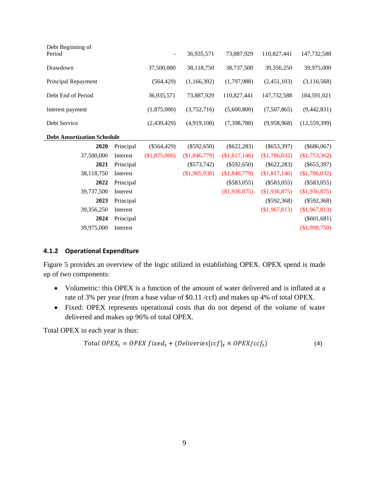| Debt Beginning of                 |           |               |                 |                 |               |                 |
|-----------------------------------|-----------|---------------|-----------------|-----------------|---------------|-----------------|
| Period                            |           |               | 36,935,571      | 73,887,929      | 110,827,441   | 147,732,588     |
| Drawdown                          |           | 37,500,000    | 38,118,750      | 38,737,500      | 39,356,250    | 39,975,000      |
| Principal Repayment               |           | (564, 429)    | (1,166,392)     | (1,797,988)     | (2,451,103)   | (3,116,568)     |
| Debt End of Period                |           | 36,935,571    | 73,887,929      | 110,827,441     | 147,732,588   | 184,591,021     |
| Interest payment                  |           | (1,875,000)   | (3,752,716)     | (5,600,800)     | (7,507,865)   | (9,442,831)     |
| Debt Service                      |           | (2,439,429)   | (4,919,108)     | (7,398,788)     | (9,958,968)   | (12, 559, 399)  |
| <b>Debt Amortization Schedule</b> |           |               |                 |                 |               |                 |
| 2020                              | Principal | $(\$564,429)$ | $(\$592,650)$   | $(\$622,283)$   | $(\$653,397)$ | $(\$686,067)$   |
| 37,500,000                        | Interest  | (\$1,875,000) | $(\$1,846,779)$ | $(\$1,817,146)$ | (\$1,786,032) | $(\$1,753,362)$ |
| 2021                              | Principal |               | $(\$573,742)$   | $(\$592,650)$   | $(\$622,283)$ | $(\$653,397)$   |
| 38,118,750                        | Interest  |               | $(\$1,905,938)$ | (\$1,846,779)   | (\$1,817,146) | (\$1,786,032)   |
| 2022                              | Principal |               |                 | $(\$583,055)$   | $(\$583,055)$ | $(\$583,055)$   |
| 39,737,500                        | Interest  |               |                 | (\$1,936,875)   | (\$1,936,875) | (\$1,936,875)   |
| 2023                              | Principal |               |                 |                 | $(\$592,368)$ | $(\$592,368)$   |
| 39,356,250                        | Interest  |               |                 |                 | (\$1,967,813) | $(\$1,967,813)$ |
| 2024                              | Principal |               |                 |                 |               | $(\$601,681)$   |
| 39,975,000                        | Interest  |               |                 |                 |               | (\$1,998,750)   |
|                                   |           |               |                 |                 |               |                 |

#### **4.1.2 Operational Expenditure**

[Figure 5](#page-9-0) provides an overview of the logic utilized in establishing OPEX. OPEX spend is made up of two components:

- Volumetric: this OPEX is a function of the amount of water delivered and is inflated at a rate of 3% per year (from a base value of \$0.11 /ccf) and makes up 4% of total OPEX.
- Fixed: OPEX represents operational costs that do not depend of the volume of water delivered and makes up 96% of total OPEX.

Total OPEX in each year is thus:

$$
Total OPEX_t = OPEX fixed_t + (Deliveries[ccf]_t \times OPEX/ccf_t)
$$
\n
$$
(4)
$$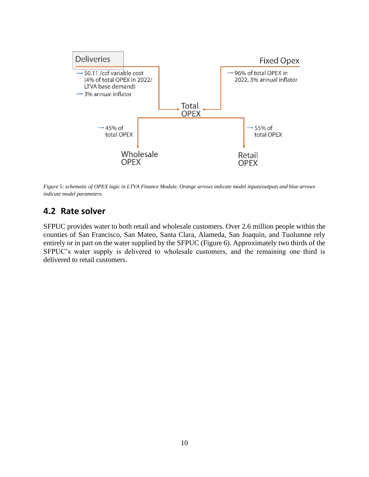

<span id="page-9-0"></span>*Figure 5: schematic of OPEX logic in LTVA Finance Module. Orange arrows indicate model inputs/outputs and blue arrows indicate model parameters.*

#### **4.2 Rate solver**

SFPUC provides water to both retail and wholesale customers. Over 2.6 million people within the counties of San Francisco, San Mateo, Santa Clara, Alameda, San Joaquin, and Tuolumne rely entirely or in part on the water supplied by the SFPUC (Figure 6). Approximately two thirds of the SFPUC's water supply is delivered to wholesale customers, and the remaining one third is delivered to retail customers.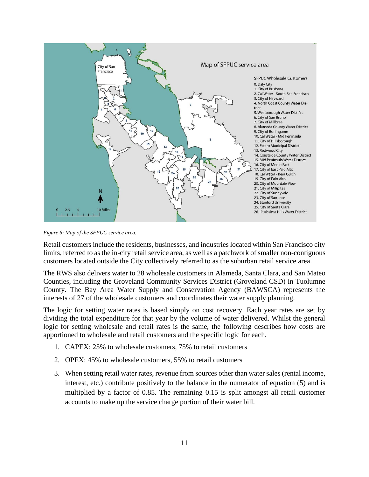

*Figure 6: Map of the SFPUC service area.* 

Retail customers include the residents, businesses, and industries located within San Francisco city limits, referred to as the in-city retail service area, as well as a patchwork of smaller non-contiguous customers located outside the City collectively referred to as the suburban retail service area.

The RWS also delivers water to 28 wholesale customers in Alameda, Santa Clara, and San Mateo Counties, including the Groveland Community Services District (Groveland CSD) in Tuolumne County. The Bay Area Water Supply and Conservation Agency (BAWSCA) represents the interests of 27 of the wholesale customers and coordinates their water supply planning.

The logic for setting water rates is based simply on cost recovery. Each year rates are set by dividing the total expenditure for that year by the volume of water delivered. Whilst the general logic for setting wholesale and retail rates is the same, the following describes how costs are apportioned to wholesale and retail customers and the specific logic for each.

- 1. CAPEX: 25% to wholesale customers, 75% to retail customers
- 2. OPEX: 45% to wholesale customers, 55% to retail customers
- 3. When setting retail water rates, revenue from sources other than water sales (rental income, interest, etc.) contribute positively to the balance in the numerator of equation (5) and is multiplied by a factor of 0.85. The remaining 0.15 is split amongst all retail customer accounts to make up the service charge portion of their water bill.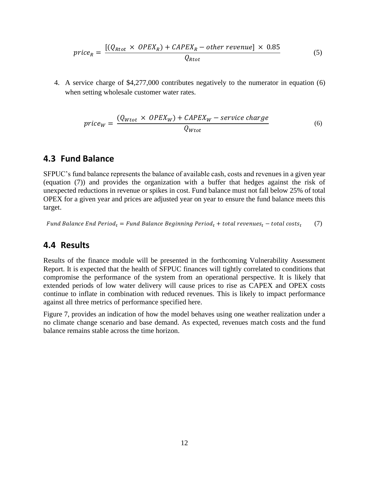$$
price_R = \frac{[(Q_{Rot} \times OPEX_R) + CAPEX_R - other revenue] \times 0.85}{Q_{ktor}}
$$
(5)

4. A service charge of \$4,277,000 contributes negatively to the numerator in equation (6) when setting wholesale customer water rates.

$$
price_W = \frac{(Q_{Wtot} \times OPEX_W) + CAPEX_W - service charge}{Q_{Wtot}}
$$
\n(6)

#### **4.3 Fund Balance**

SFPUC's fund balance represents the balance of available cash, costs and revenues in a given year (equation (7)) and provides the organization with a buffer that hedges against the risk of unexpected reductions in revenue or spikes in cost. Fund balance must not fall below 25% of total OPEX for a given year and prices are adjusted year on year to ensure the fund balance meets this target.

Fund Balance End Period<sub>t</sub> = Fund Balance Beginning Period<sub>t</sub> + total revenues<sub>t</sub> – total costs<sub>t</sub> (7)

#### **4.4 Results**

Results of the finance module will be presented in the forthcoming Vulnerability Assessment Report. It is expected that the health of SFPUC finances will tightly correlated to conditions that compromise the performance of the system from an operational perspective. It is likely that extended periods of low water delivery will cause prices to rise as CAPEX and OPEX costs continue to inflate in combination with reduced revenues. This is likely to impact performance against all three metrics of performance specified here.

[Figure 7,](#page-12-0) provides an indication of how the model behaves using one weather realization under a no climate change scenario and base demand. As expected, revenues match costs and the fund balance remains stable across the time horizon.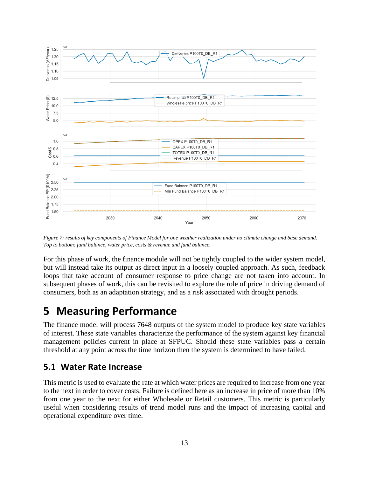

<span id="page-12-0"></span>*Figure 7: results of key components of Finance Model for one weather realization under no climate change and base demand. Top to bottom: fund balance, water price, costs & revenue and fund balance.*

For this phase of work, the finance module will not be tightly coupled to the wider system model, but will instead take its output as direct input in a loosely coupled approach. As such, feedback loops that take account of consumer response to price change are not taken into account. In subsequent phases of work, this can be revisited to explore the role of price in driving demand of consumers, both as an adaptation strategy, and as a risk associated with drought periods.

## **5 Measuring Performance**

The finance model will process 7648 outputs of the system model to produce key state variables of interest. These state variables characterize the performance of the system against key financial management policies current in place at SFPUC. Should these state variables pass a certain threshold at any point across the time horizon then the system is determined to have failed.

### **5.1 Water Rate Increase**

This metric is used to evaluate the rate at which water prices are required to increase from one year to the next in order to cover costs. Failure is defined here as an increase in price of more than 10% from one year to the next for either Wholesale or Retail customers. This metric is particularly useful when considering results of trend model runs and the impact of increasing capital and operational expenditure over time.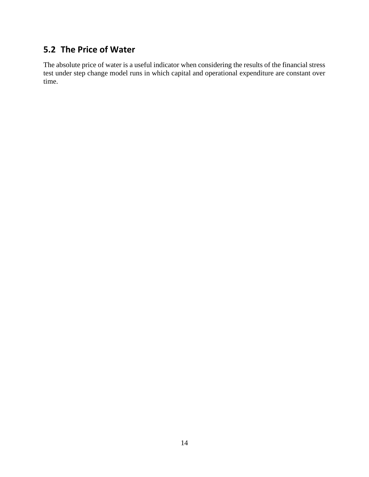## **5.2 The Price of Water**

The absolute price of water is a useful indicator when considering the results of the financial stress test under step change model runs in which capital and operational expenditure are constant over time.